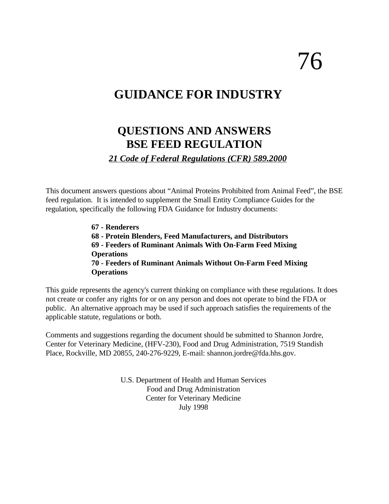# 76

# **GUIDANCE FOR INDUSTRY**

# **QUESTIONS AND ANSWERS BSE FEED REGULATION**

*21 Code of Federal Regulations (CFR) 589.2000* 

This document answers questions about "Animal Proteins Prohibited from Animal Feed", the BSE feed regulation. It is intended to supplement the Small Entity Compliance Guides for the regulation, specifically the following FDA Guidance for Industry documents:

> **67 - Renderers 68 - Protein Blenders, Feed Manufacturers, and Distributors 69 - Feeders of Ruminant Animals With On-Farm Feed Mixing Operations 70 - Feeders of Ruminant Animals Without On-Farm Feed Mixing Operations**

This guide represents the agency's current thinking on compliance with these regulations. It does not create or confer any rights for or on any person and does not operate to bind the FDA or public. An alternative approach may be used if such approach satisfies the requirements of the applicable statute, regulations or both.

Comments and suggestions regarding the document should be submitted to Shannon Jordre, Center for Veterinary Medicine, (HFV-230), Food and Drug Administration, 7519 Standish Place, Rockville, MD 20855, 240-276-9229, E-mail: shannon.jordre@fda.hhs.gov.

> U.S. Department of Health and Human Services Food and Drug Administration Center for Veterinary Medicine July 1998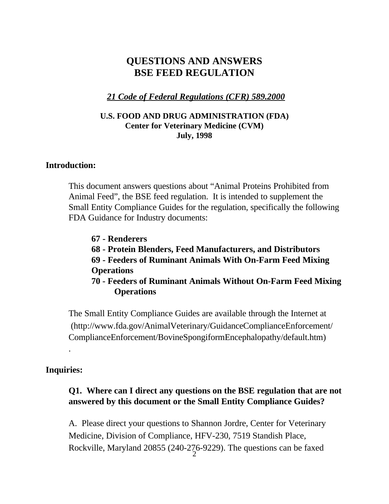# **QUESTIONS AND ANSWERS BSE FEED REGULATION**

# *21 Code of Federal Regulations (CFR) 589.2000*

#### **U.S. FOOD AND DRUG ADMINISTRATION (FDA) Center for Veterinary Medicine (CVM) July, 1998**

#### **Introduction:**

This document answers questions about "Animal Proteins Prohibited from Animal Feed", the BSE feed regulation. It is intended to supplement the Small Entity Compliance Guides for the regulation, specifically the following FDA Guidance for Industry documents:

**67 - Renderers** 

- **68 Protein Blenders, Feed Manufacturers, and Distributors**
- **69 Feeders of Ruminant Animals With On-Farm Feed Mixing Operations**

**70 - Feeders of Ruminant Animals Without On-Farm Feed Mixing Operations** 

The Small Entity Compliance Guides are available through the Internet at ([http://www.fda.gov/AnimalVeterinary/GuidanceComplianceEnforcement/](http://www.fda.gov/AnimalVeterinary/GuidanceComplianceEnforcement/ComplianceEnforcement/BovineSpongiformEncephalopathy/default.htm) ComplianceEnforcement/BovineSpongiformEncephalopathy/default.htm)

#### **Inquiries:**

.

# **Q1. Where can I direct any questions on the BSE regulation that are not answered by this document or the Small Entity Compliance Guides?**

A. Please direct your questions to Shannon Jordre, Center for Veterinary Medicine, Division of Compliance, HFV-230, 7519 Standish Place, Rockville, Maryland 20855 (240-276-9229). The questions can be faxed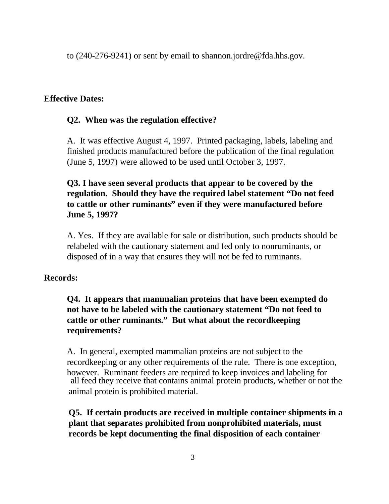to (240-276-9241) or sent by email to shannon.jordre@fda.hhs.gov.

#### **Effective Dates:**

#### **Q2. When was the regulation effective?**

A. It was effective August 4, 1997. Printed packaging, labels, labeling and finished products manufactured before the publication of the final regulation (June 5, 1997) were allowed to be used until October 3, 1997.

# **Q3. I have seen several products that appear to be covered by the regulation. Should they have the required label statement "Do not feed to cattle or other ruminants" even if they were manufactured before June 5, 1997?**

A. Yes. If they are available for sale or distribution, such products should be relabeled with the cautionary statement and fed only to nonruminants, or disposed of in a way that ensures they will not be fed to ruminants.

#### **Records:**

# **Q4. It appears that mammalian proteins that have been exempted do not have to be labeled with the cautionary statement "Do not feed to cattle or other ruminants." But what about the recordkeeping requirements?**

 all feed they receive that contains animal protein products, whether or not the A. In general, exempted mammalian proteins are not subject to the recordkeeping or any other requirements of the rule. There is one exception, however. Ruminant feeders are required to keep invoices and labeling for animal protein is prohibited material.

# **Q5. If certain products are received in multiple container shipments in a plant that separates prohibited from nonprohibited materials, must records be kept documenting the final disposition of each container**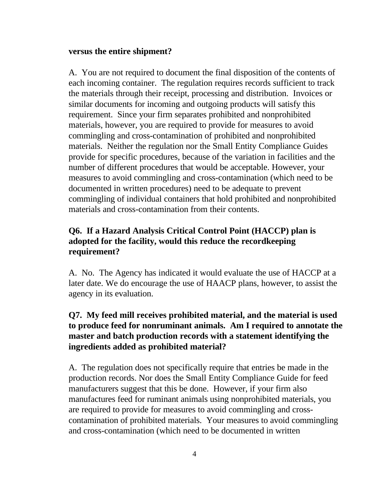#### **versus the entire shipment?**

A. You are not required to document the final disposition of the contents of each incoming container. The regulation requires records sufficient to track the materials through their receipt, processing and distribution. Invoices or similar documents for incoming and outgoing products will satisfy this requirement. Since your firm separates prohibited and nonprohibited materials, however, you are required to provide for measures to avoid commingling and cross-contamination of prohibited and nonprohibited materials. Neither the regulation nor the Small Entity Compliance Guides provide for specific procedures, because of the variation in facilities and the number of different procedures that would be acceptable. However, your measures to avoid commingling and cross-contamination (which need to be documented in written procedures) need to be adequate to prevent commingling of individual containers that hold prohibited and nonprohibited materials and cross-contamination from their contents.

# **Q6. If a Hazard Analysis Critical Control Point (HACCP) plan is adopted for the facility, would this reduce the recordkeeping requirement?**

A. No. The Agency has indicated it would evaluate the use of HACCP at a later date. We do encourage the use of HAACP plans, however, to assist the agency in its evaluation.

# **Q7. My feed mill receives prohibited material, and the material is used to produce feed for nonruminant animals. Am I required to annotate the master and batch production records with a statement identifying the ingredients added as prohibited material?**

A. The regulation does not specifically require that entries be made in the production records. Nor does the Small Entity Compliance Guide for feed manufacturers suggest that this be done. However, if your firm also manufactures feed for ruminant animals using nonprohibited materials, you are required to provide for measures to avoid commingling and crosscontamination of prohibited materials. Your measures to avoid commingling and cross-contamination (which need to be documented in written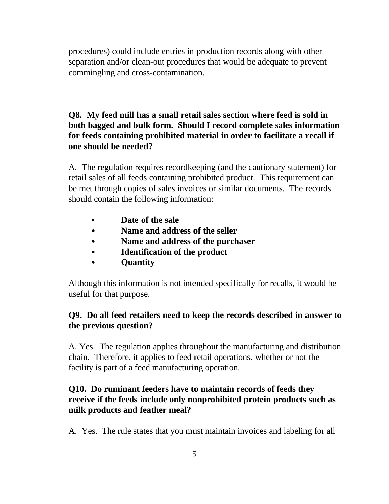procedures) could include entries in production records along with other separation and/or clean-out procedures that would be adequate to prevent commingling and cross-contamination.

# **Q8. My feed mill has a small retail sales section where feed is sold in both bagged and bulk form. Should I record complete sales information for feeds containing prohibited material in order to facilitate a recall if one should be needed?**

A. The regulation requires recordkeeping (and the cautionary statement) for retail sales of all feeds containing prohibited product. This requirement can be met through copies of sales invoices or similar documents. The records should contain the following information:

- C **Date of the sale**
- Name and address of the seller
- C **Name and address of the purchaser**
- C **Identification of the product**
- C **Quantity**

Although this information is not intended specifically for recalls, it would be useful for that purpose.

# **Q9. Do all feed retailers need to keep the records described in answer to the previous question?**

A. Yes. The regulation applies throughout the manufacturing and distribution chain. Therefore, it applies to feed retail operations, whether or not the facility is part of a feed manufacturing operation.

# **Q10. Do ruminant feeders have to maintain records of feeds they receive if the feeds include only nonprohibited protein products such as milk products and feather meal?**

A. Yes. The rule states that you must maintain invoices and labeling for all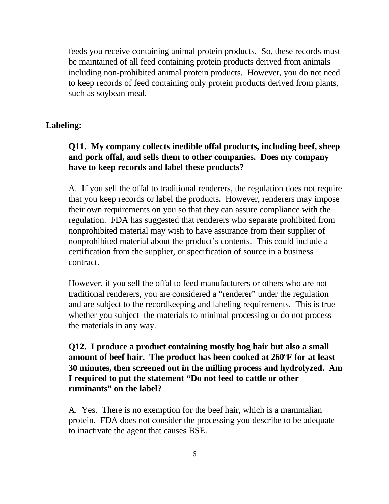feeds you receive containing animal protein products. So, these records must be maintained of all feed containing protein products derived from animals including non-prohibited animal protein products. However, you do not need to keep records of feed containing only protein products derived from plants, such as soybean meal.

#### **Labeling:**

# **Q11. My company collects inedible offal products, including beef, sheep and pork offal, and sells them to other companies. Does my company have to keep records and label these products?**

A. If you sell the offal to traditional renderers, the regulation does not require that you keep records or label the products**.** However, renderers may impose their own requirements on you so that they can assure compliance with the regulation. FDA has suggested that renderers who separate prohibited from nonprohibited material may wish to have assurance from their supplier of nonprohibited material about the product's contents. This could include a certification from the supplier, or specification of source in a business contract.

However, if you sell the offal to feed manufacturers or others who are not traditional renderers, you are considered a "renderer" under the regulation and are subject to the recordkeeping and labeling requirements. This is true whether you subject the materials to minimal processing or do not process the materials in any way.

# **Q12. I produce a product containing mostly hog hair but also a small amount of beef hair. The product has been cooked at 260°F for at least 30 minutes, then screened out in the milling process and hydrolyzed. Am I required to put the statement "Do not feed to cattle or other ruminants" on the label?**

A. Yes. There is no exemption for the beef hair, which is a mammalian protein. FDA does not consider the processing you describe to be adequate to inactivate the agent that causes BSE.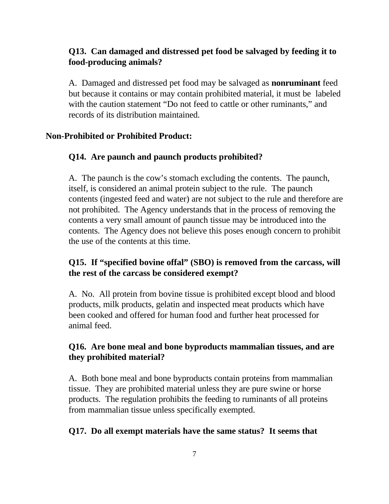# **Q13. Can damaged and distressed pet food be salvaged by feeding it to food-producing animals?**

A. Damaged and distressed pet food may be salvaged as **nonruminant** feed but because it contains or may contain prohibited material, it must be labeled with the caution statement "Do not feed to cattle or other ruminants," and records of its distribution maintained.

#### **Non-Prohibited or Prohibited Product:**

#### **Q14. Are paunch and paunch products prohibited?**

A. The paunch is the cow's stomach excluding the contents. The paunch, itself, is considered an animal protein subject to the rule. The paunch contents (ingested feed and water) are not subject to the rule and therefore are not prohibited. The Agency understands that in the process of removing the contents a very small amount of paunch tissue may be introduced into the contents. The Agency does not believe this poses enough concern to prohibit the use of the contents at this time.

#### **Q15. If "specified bovine offal" (SBO) is removed from the carcass, will the rest of the carcass be considered exempt?**

A. No. All protein from bovine tissue is prohibited except blood and blood products, milk products, gelatin and inspected meat products which have been cooked and offered for human food and further heat processed for animal feed.

# **Q16. Are bone meal and bone byproducts mammalian tissues, and are they prohibited material?**

A. Both bone meal and bone byproducts contain proteins from mammalian tissue. They are prohibited material unless they are pure swine or horse products. The regulation prohibits the feeding to ruminants of all proteins from mammalian tissue unless specifically exempted.

#### **Q17. Do all exempt materials have the same status? It seems that**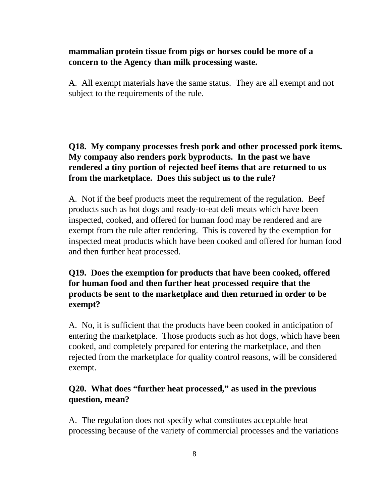#### **mammalian protein tissue from pigs or horses could be more of a concern to the Agency than milk processing waste.**

A. All exempt materials have the same status. They are all exempt and not subject to the requirements of the rule.

# **Q18. My company processes fresh pork and other processed pork items. My company also renders pork byproducts. In the past we have rendered a tiny portion of rejected beef items that are returned to us from the marketplace. Does this subject us to the rule?**

A. Not if the beef products meet the requirement of the regulation. Beef products such as hot dogs and ready-to-eat deli meats which have been inspected, cooked, and offered for human food may be rendered and are exempt from the rule after rendering. This is covered by the exemption for inspected meat products which have been cooked and offered for human food and then further heat processed.

# **Q19. Does the exemption for products that have been cooked, offered for human food and then further heat processed require that the products be sent to the marketplace and then returned in order to be exempt?**

A. No, it is sufficient that the products have been cooked in anticipation of entering the marketplace. Those products such as hot dogs, which have been cooked, and completely prepared for entering the marketplace, and then rejected from the marketplace for quality control reasons, will be considered exempt.

# **Q20. What does "further heat processed," as used in the previous question, mean?**

A. The regulation does not specify what constitutes acceptable heat processing because of the variety of commercial processes and the variations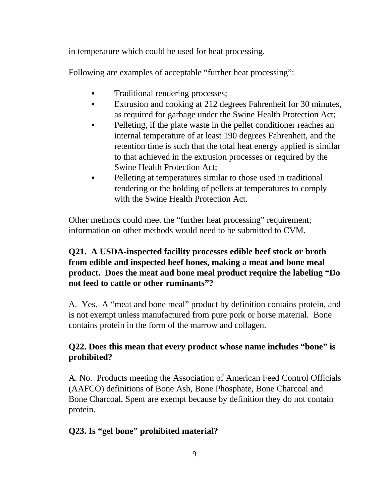in temperature which could be used for heat processing.

Following are examples of acceptable "further heat processing":

- Traditional rendering processes;
- Extrusion and cooking at 212 degrees Fahrenheit for 30 minutes, as required for garbage under the Swine Health Protection Act;
- Pelleting, if the plate waste in the pellet conditioner reaches an internal temperature of at least 190 degrees Fahrenheit, and the retention time is such that the total heat energy applied is similar to that achieved in the extrusion processes or required by the Swine Health Protection Act;
- Pelleting at temperatures similar to those used in traditional rendering or the holding of pellets at temperatures to comply with the Swine Health Protection Act.

Other methods could meet the "further heat processing" requirement; information on other methods would need to be submitted to CVM.

# **Q21. A USDA-inspected facility processes edible beef stock or broth from edible and inspected beef bones, making a meat and bone meal product. Does the meat and bone meal product require the labeling "Do not feed to cattle or other ruminants"?**

A. Yes. A "meat and bone meal" product by definition contains protein, and is not exempt unless manufactured from pure pork or horse material. Bone contains protein in the form of the marrow and collagen.

# **Q22. Does this mean that every product whose name includes "bone" is prohibited?**

A. No. Products meeting the Association of American Feed Control Officials (AAFCO) definitions of Bone Ash, Bone Phosphate, Bone Charcoal and Bone Charcoal, Spent are exempt because by definition they do not contain protein.

# **Q23. Is "gel bone" prohibited material?**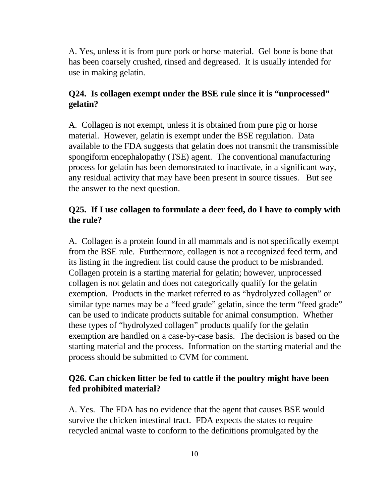A. Yes, unless it is from pure pork or horse material. Gel bone is bone that has been coarsely crushed, rinsed and degreased. It is usually intended for use in making gelatin.

#### **Q24. Is collagen exempt under the BSE rule since it is "unprocessed" gelatin?**

A. Collagen is not exempt, unless it is obtained from pure pig or horse material. However, gelatin is exempt under the BSE regulation. Data available to the FDA suggests that gelatin does not transmit the transmissible spongiform encephalopathy (TSE) agent. The conventional manufacturing process for gelatin has been demonstrated to inactivate, in a significant way, any residual activity that may have been present in source tissues. But see the answer to the next question.

### **Q25. If I use collagen to formulate a deer feed, do I have to comply with the rule?**

A. Collagen is a protein found in all mammals and is not specifically exempt from the BSE rule. Furthermore, collagen is not a recognized feed term, and its listing in the ingredient list could cause the product to be misbranded. Collagen protein is a starting material for gelatin; however, unprocessed collagen is not gelatin and does not categorically qualify for the gelatin exemption. Products in the market referred to as "hydrolyzed collagen" or similar type names may be a "feed grade" gelatin, since the term "feed grade" can be used to indicate products suitable for animal consumption. Whether these types of "hydrolyzed collagen" products qualify for the gelatin exemption are handled on a case-by-case basis. The decision is based on the starting material and the process. Information on the starting material and the process should be submitted to CVM for comment.

# **Q26. Can chicken litter be fed to cattle if the poultry might have been fed prohibited material?**

A. Yes. The FDA has no evidence that the agent that causes BSE would survive the chicken intestinal tract. FDA expects the states to require recycled animal waste to conform to the definitions promulgated by the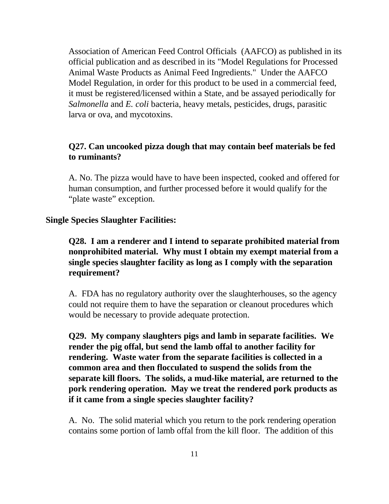Association of American Feed Control Officials (AAFCO) as published in its official publication and as described in its "Model Regulations for Processed Animal Waste Products as Animal Feed Ingredients." Under the AAFCO Model Regulation, in order for this product to be used in a commercial feed, it must be registered/licensed within a State, and be assayed periodically for *Salmonella* and *E. coli* bacteria, heavy metals, pesticides, drugs, parasitic larva or ova, and mycotoxins.

#### **Q27. Can uncooked pizza dough that may contain beef materials be fed to ruminants?**

A. No. The pizza would have to have been inspected, cooked and offered for human consumption, and further processed before it would qualify for the "plate waste" exception.

#### **Single Species Slaughter Facilities:**

**Q28. I am a renderer and I intend to separate prohibited material from nonprohibited material. Why must I obtain my exempt material from a single species slaughter facility as long as I comply with the separation requirement?** 

A. FDA has no regulatory authority over the slaughterhouses, so the agency could not require them to have the separation or cleanout procedures which would be necessary to provide adequate protection.

**Q29. My company slaughters pigs and lamb in separate facilities. We render the pig offal, but send the lamb offal to another facility for rendering. Waste water from the separate facilities is collected in a common area and then flocculated to suspend the solids from the separate kill floors. The solids, a mud-like material, are returned to the pork rendering operation. May we treat the rendered pork products as if it came from a single species slaughter facility?** 

A. No. The solid material which you return to the pork rendering operation contains some portion of lamb offal from the kill floor. The addition of this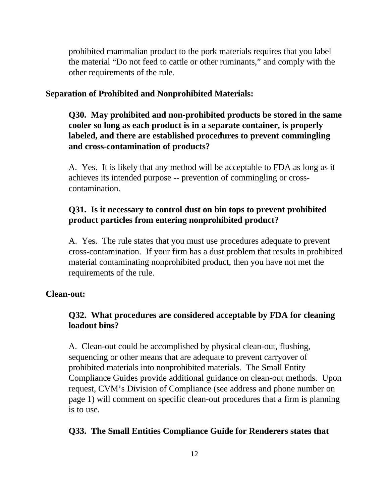prohibited mammalian product to the pork materials requires that you label the material "Do not feed to cattle or other ruminants," and comply with the other requirements of the rule.

#### **Separation of Prohibited and Nonprohibited Materials:**

**Q30. May prohibited and non-prohibited products be stored in the same cooler so long as each product is in a separate container, is properly labeled, and there are established procedures to prevent commingling and cross-contamination of products?** 

A. Yes. It is likely that any method will be acceptable to FDA as long as it achieves its intended purpose -- prevention of commingling or crosscontamination.

### **Q31. Is it necessary to control dust on bin tops to prevent prohibited product particles from entering nonprohibited product?**

A. Yes. The rule states that you must use procedures adequate to prevent cross-contamination. If your firm has a dust problem that results in prohibited material contaminating nonprohibited product, then you have not met the requirements of the rule.

#### **Clean-out:**

### **Q32. What procedures are considered acceptable by FDA for cleaning loadout bins?**

A. Clean-out could be accomplished by physical clean-out, flushing, sequencing or other means that are adequate to prevent carryover of prohibited materials into nonprohibited materials. The Small Entity Compliance Guides provide additional guidance on clean-out methods. Upon request, CVM's Division of Compliance (see address and phone number on page 1) will comment on specific clean-out procedures that a firm is planning is to use.

#### **Q33. The Small Entities Compliance Guide for Renderers states that**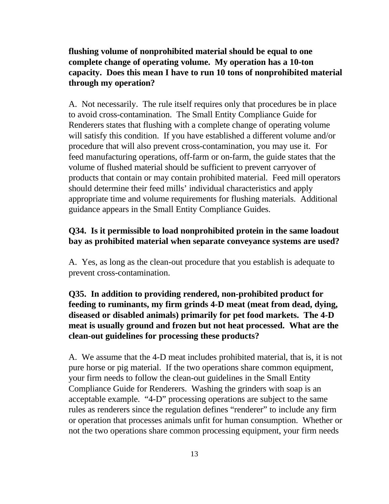**flushing volume of nonprohibited material should be equal to one complete change of operating volume. My operation has a 10-ton capacity. Does this mean I have to run 10 tons of nonprohibited material through my operation?** 

A. Not necessarily. The rule itself requires only that procedures be in place to avoid cross-contamination. The Small Entity Compliance Guide for Renderers states that flushing with a complete change of operating volume will satisfy this condition. If you have established a different volume and/or procedure that will also prevent cross-contamination, you may use it. For feed manufacturing operations, off-farm or on-farm, the guide states that the volume of flushed material should be sufficient to prevent carryover of products that contain or may contain prohibited material. Feed mill operators should determine their feed mills' individual characteristics and apply appropriate time and volume requirements for flushing materials. Additional guidance appears in the Small Entity Compliance Guides.

#### **Q34. Is it permissible to load nonprohibited protein in the same loadout bay as prohibited material when separate conveyance systems are used?**

A. Yes, as long as the clean-out procedure that you establish is adequate to prevent cross-contamination.

# **Q35. In addition to providing rendered, non-prohibited product for feeding to ruminants, my firm grinds 4-D meat (meat from dead, dying, diseased or disabled animals) primarily for pet food markets. The 4-D meat is usually ground and frozen but not heat processed. What are the clean-out guidelines for processing these products?**

A. We assume that the 4-D meat includes prohibited material, that is, it is not pure horse or pig material. If the two operations share common equipment, your firm needs to follow the clean-out guidelines in the Small Entity Compliance Guide for Renderers. Washing the grinders with soap is an acceptable example. "4-D" processing operations are subject to the same rules as renderers since the regulation defines "renderer" to include any firm or operation that processes animals unfit for human consumption. Whether or not the two operations share common processing equipment, your firm needs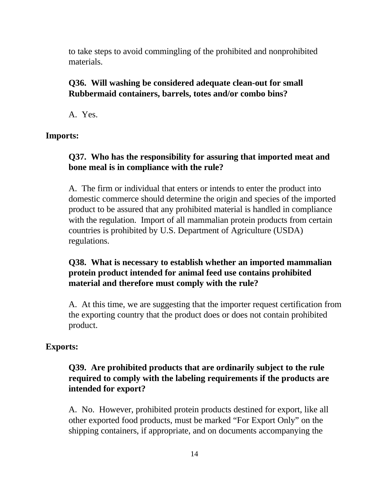to take steps to avoid commingling of the prohibited and nonprohibited materials.

#### **Q36. Will washing be considered adequate clean-out for small Rubbermaid containers, barrels, totes and/or combo bins?**

A. Yes.

**Imports:** 

#### **Q37. Who has the responsibility for assuring that imported meat and bone meal is in compliance with the rule?**

A. The firm or individual that enters or intends to enter the product into domestic commerce should determine the origin and species of the imported product to be assured that any prohibited material is handled in compliance with the regulation. Import of all mammalian protein products from certain countries is prohibited by U.S. Department of Agriculture (USDA) regulations.

# **Q38. What is necessary to establish whether an imported mammalian protein product intended for animal feed use contains prohibited material and therefore must comply with the rule?**

A. At this time, we are suggesting that the importer request certification from the exporting country that the product does or does not contain prohibited product.

#### **Exports:**

# **Q39. Are prohibited products that are ordinarily subject to the rule required to comply with the labeling requirements if the products are intended for export?**

A. No. However, prohibited protein products destined for export, like all other exported food products, must be marked "For Export Only" on the shipping containers, if appropriate, and on documents accompanying the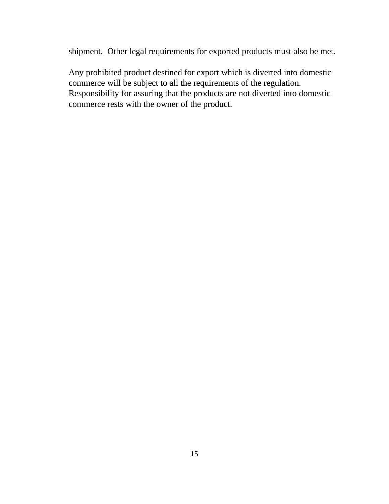shipment. Other legal requirements for exported products must also be met.

Any prohibited product destined for export which is diverted into domestic commerce will be subject to all the requirements of the regulation. Responsibility for assuring that the products are not diverted into domestic commerce rests with the owner of the product.